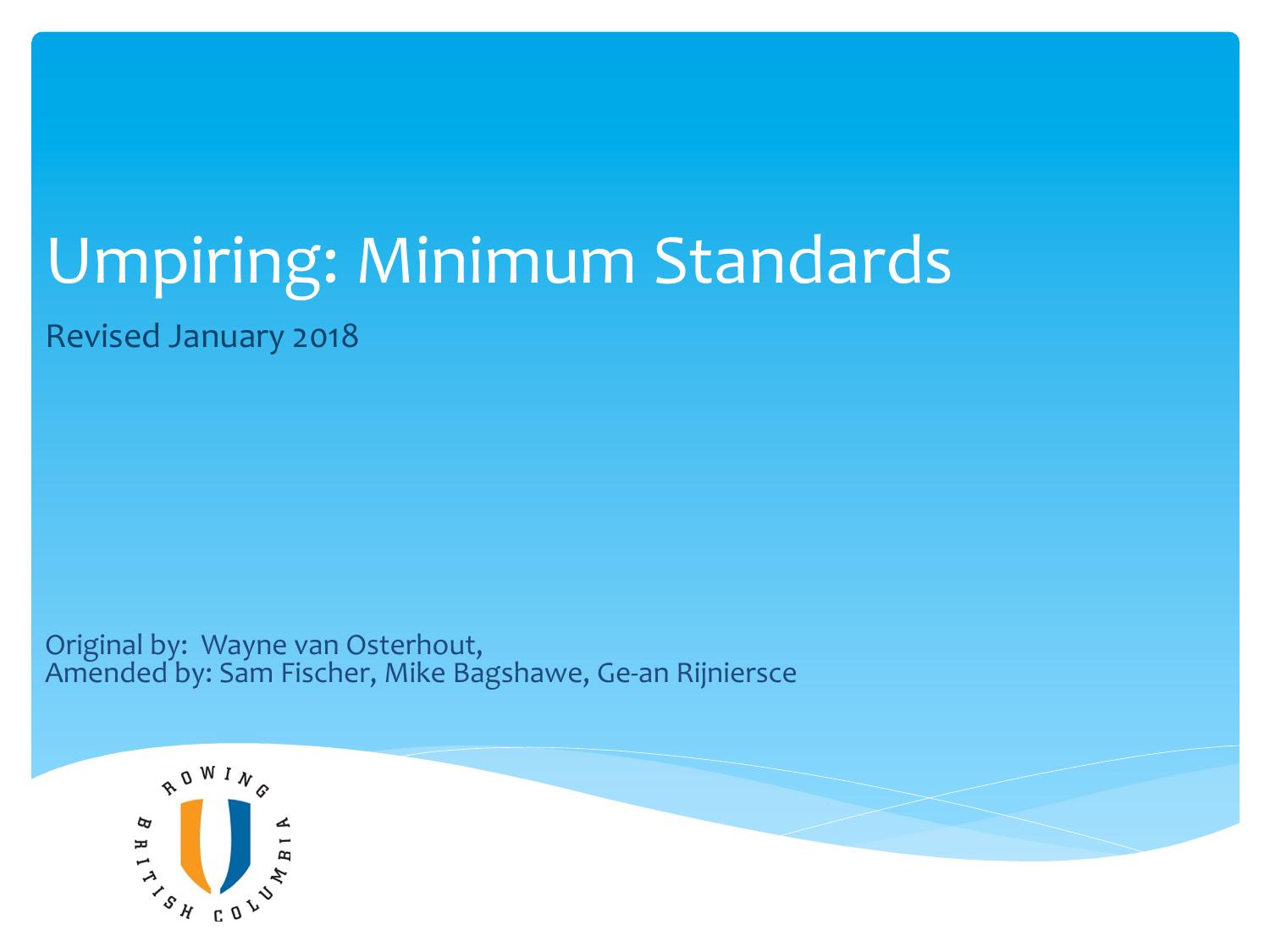## Umpiring: Minimum Standards

Revised January 2018 

Original by: Wayne van Osterhout, Amended by: Sam Fischer, Mike Bagshawe, Ge-an Rijniersce

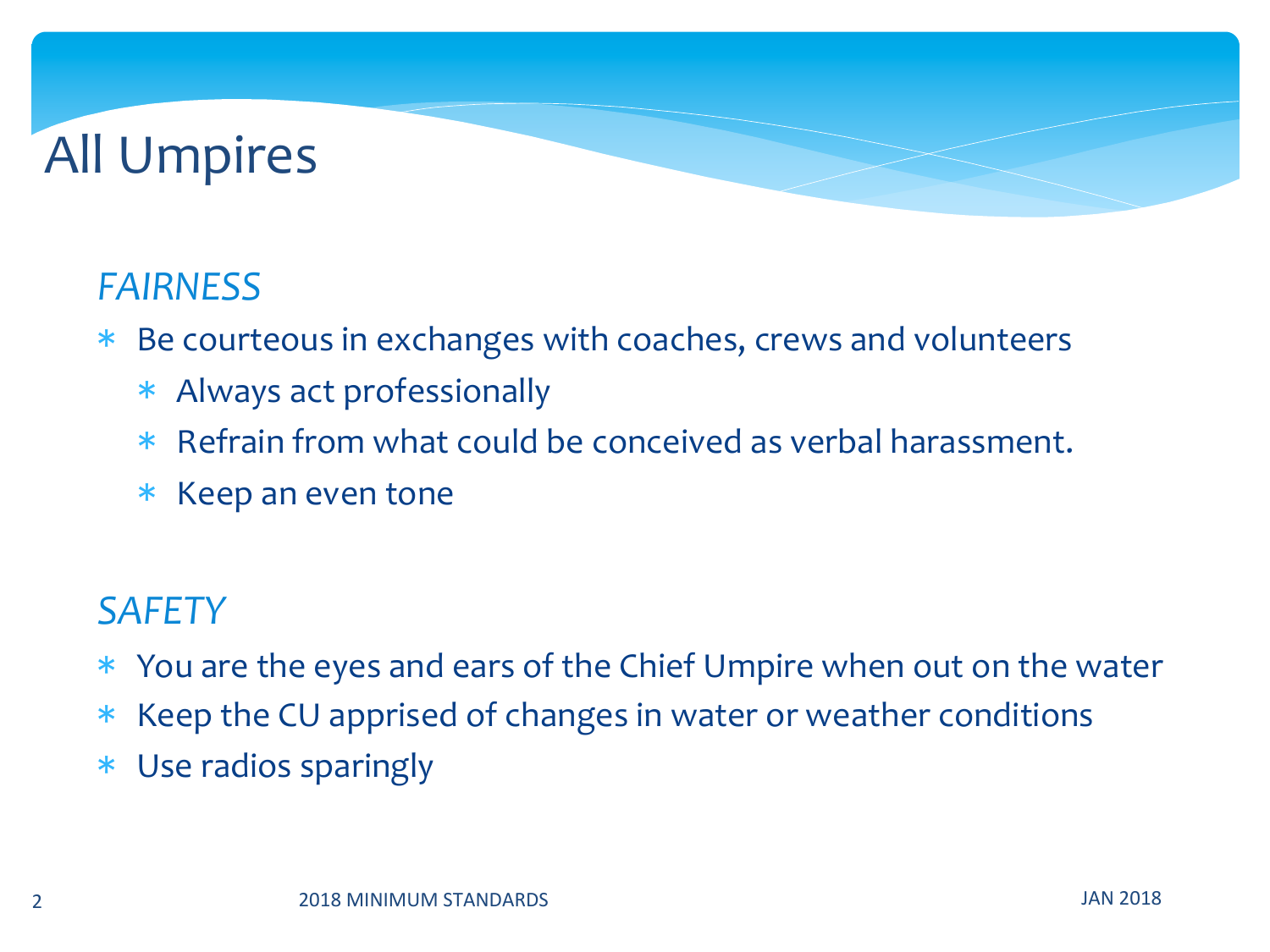### **All Umpires**

#### *FAIRNESS*

- \* Be courteous in exchanges with coaches, crews and volunteers
	- \* Always act professionally
	- \* Refrain from what could be conceived as verbal harassment.
	- \* Keep an even tone

#### *SAFETY*

- \* You are the eyes and ears of the Chief Umpire when out on the water
- \* Keep the CU apprised of changes in water or weather conditions
- \* Use radios sparingly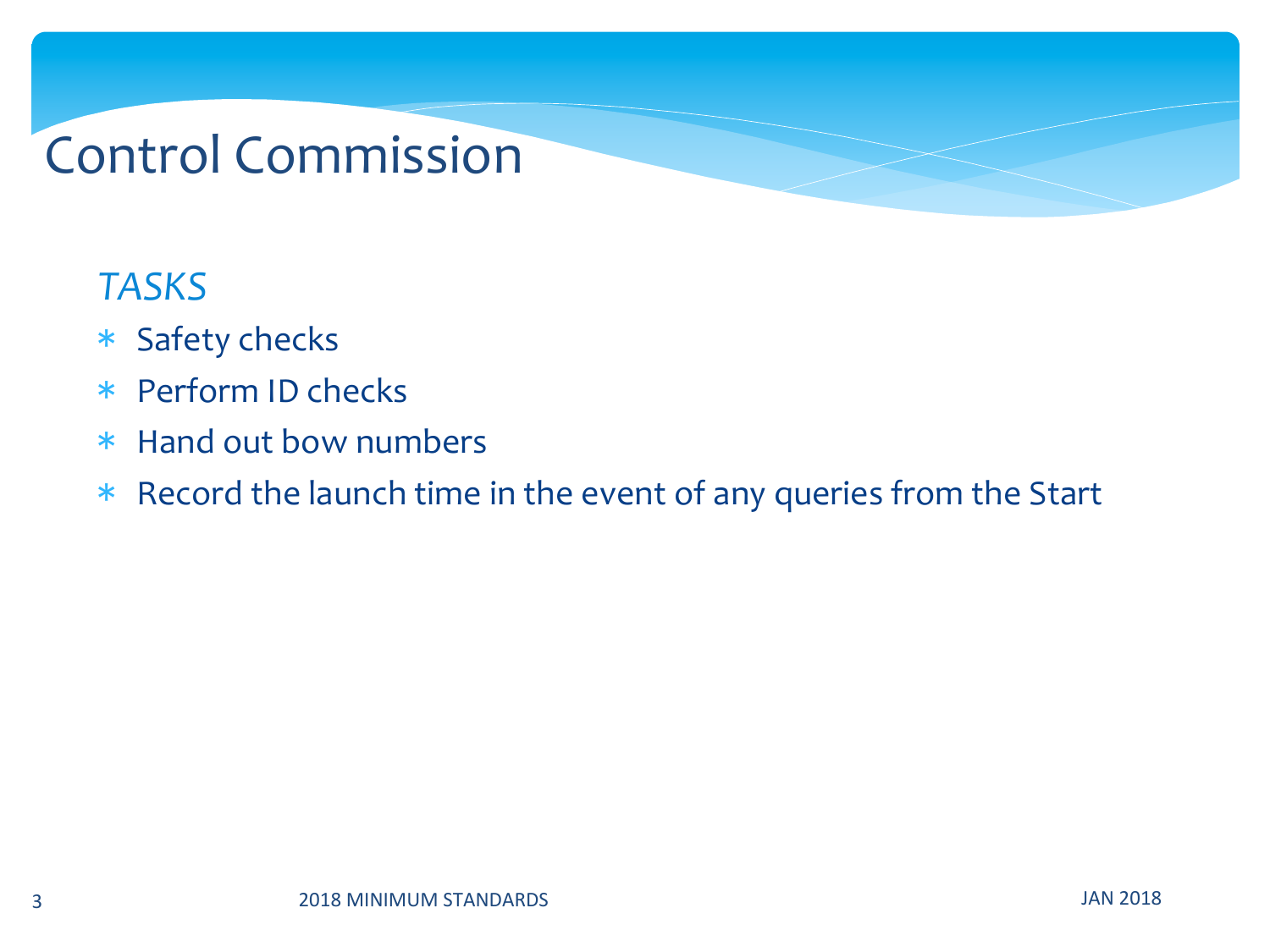### Control Commission

#### *TASKS*

- \* Safety checks
- \* Perform ID checks
- \* Hand out bow numbers
- \* Record the launch time in the event of any queries from the Start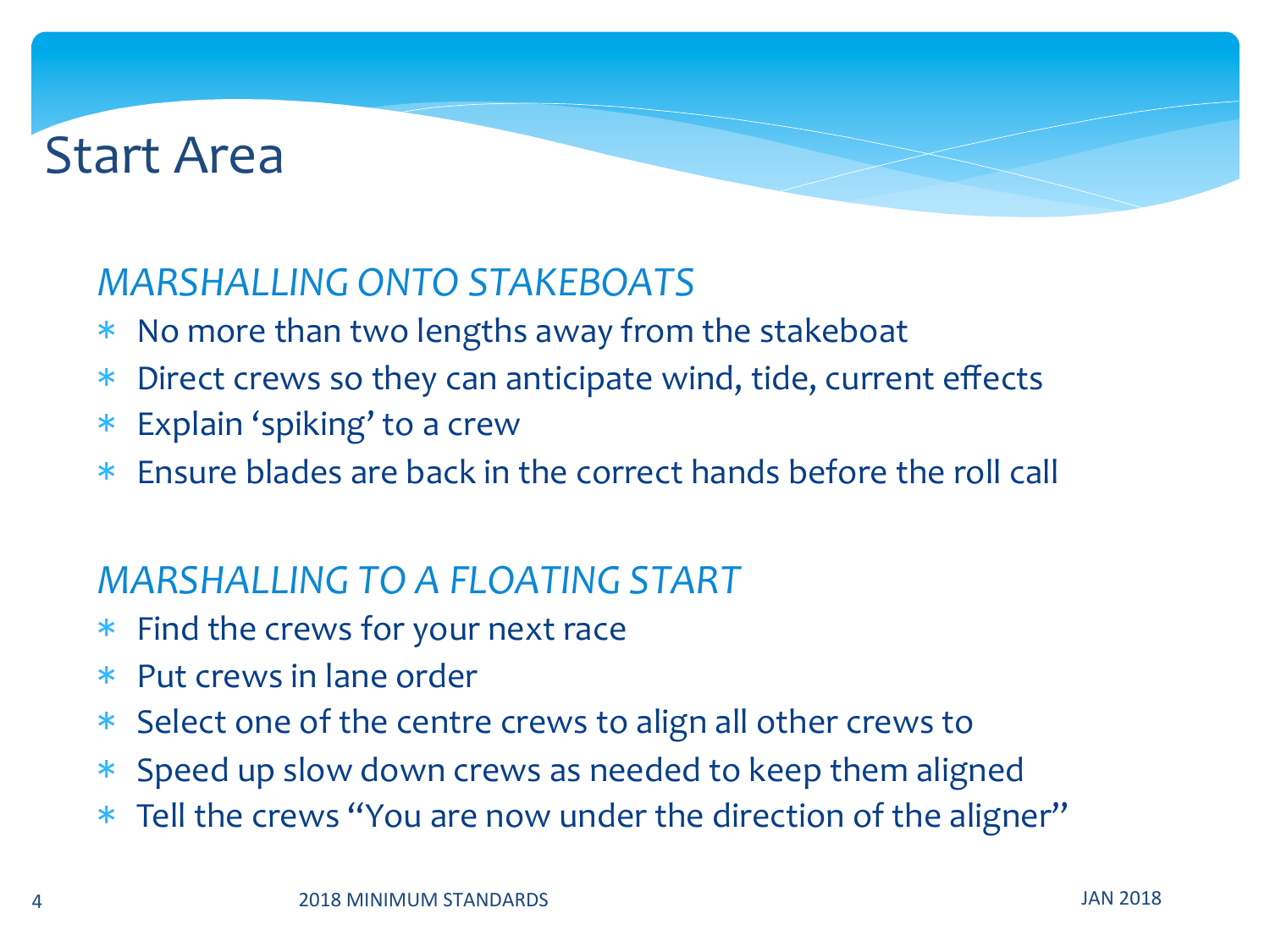### **Start Area**

#### *MARSHALLING ONTO STAKEBOATS*

- $*$  No more than two lengths away from the stakeboat
- \* Direct crews so they can anticipate wind, tide, current effects
- $*$  Explain 'spiking' to a crew
- $*$  Ensure blades are back in the correct hands before the roll call

#### *MARSHALLING TO A FLOATING START*

- $*$  Find the crews for your next race
- $*$  Put crews in lane order
- \* Select one of the centre crews to align all other crews to
- \* Speed up slow down crews as needed to keep them aligned
- \* Tell the crews "You are now under the direction of the aligner"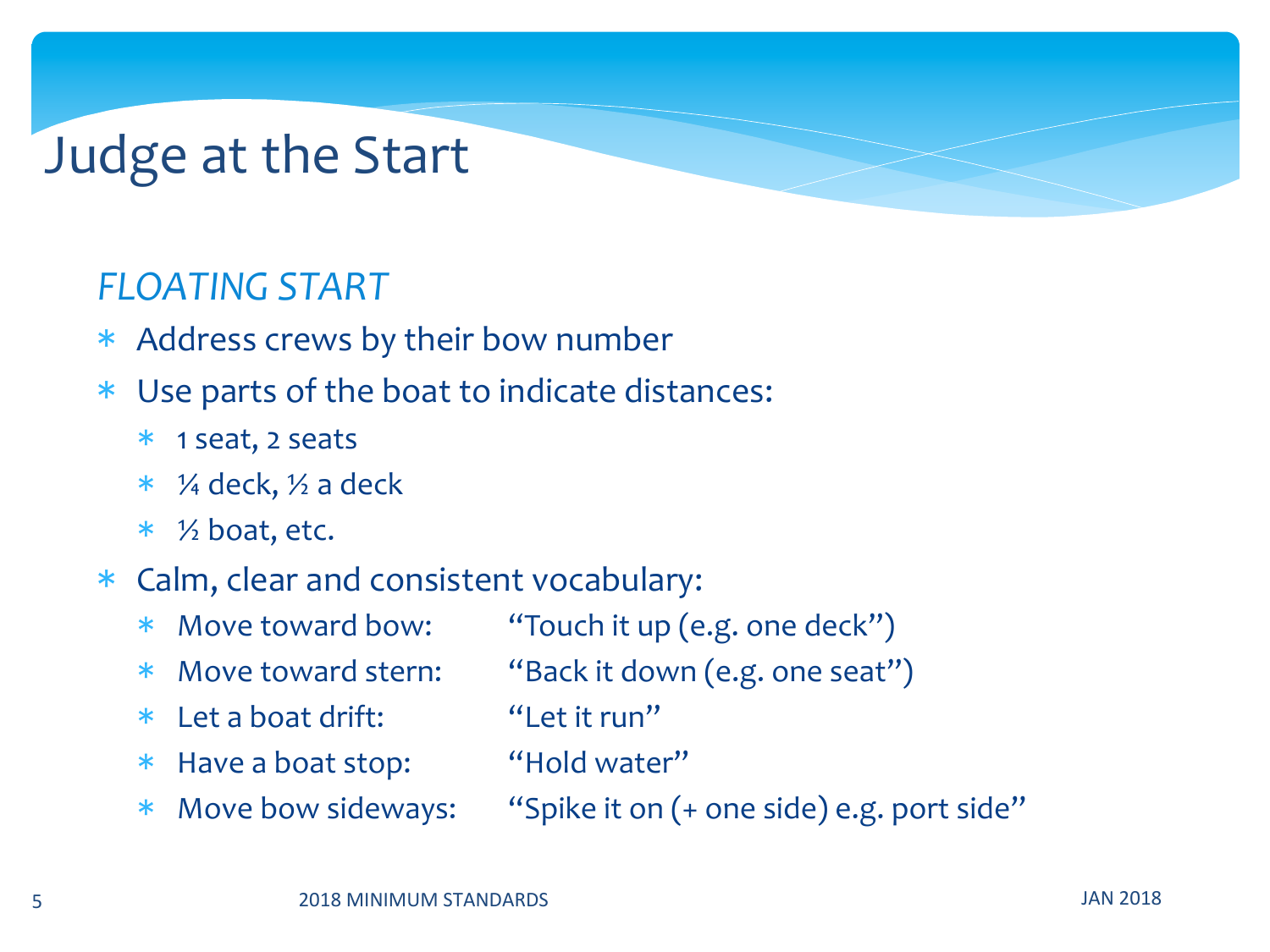### Judge at the Start

#### *FLOATING START*

- \* Address crews by their bow number
- \* Use parts of the boat to indicate distances:
	- \* 1 seat, 2 seats
	- $*$  ¼ deck,  $\frac{1}{2}$  a deck
	- $*$  % boat, etc.

#### \* Calm, clear and consistent vocabulary:

- \* Move toward bow: "Touch it up (e.g. one deck")
- \* Move toward stern: "Back it down (e.g. one seat")
- \* Let a boat drift: "Let it run"
- \* Have a boat stop: "Hold water"
- 
- 
- 
- 
- \* Move bow sideways: "Spike it on (+ one side) e.g. port side"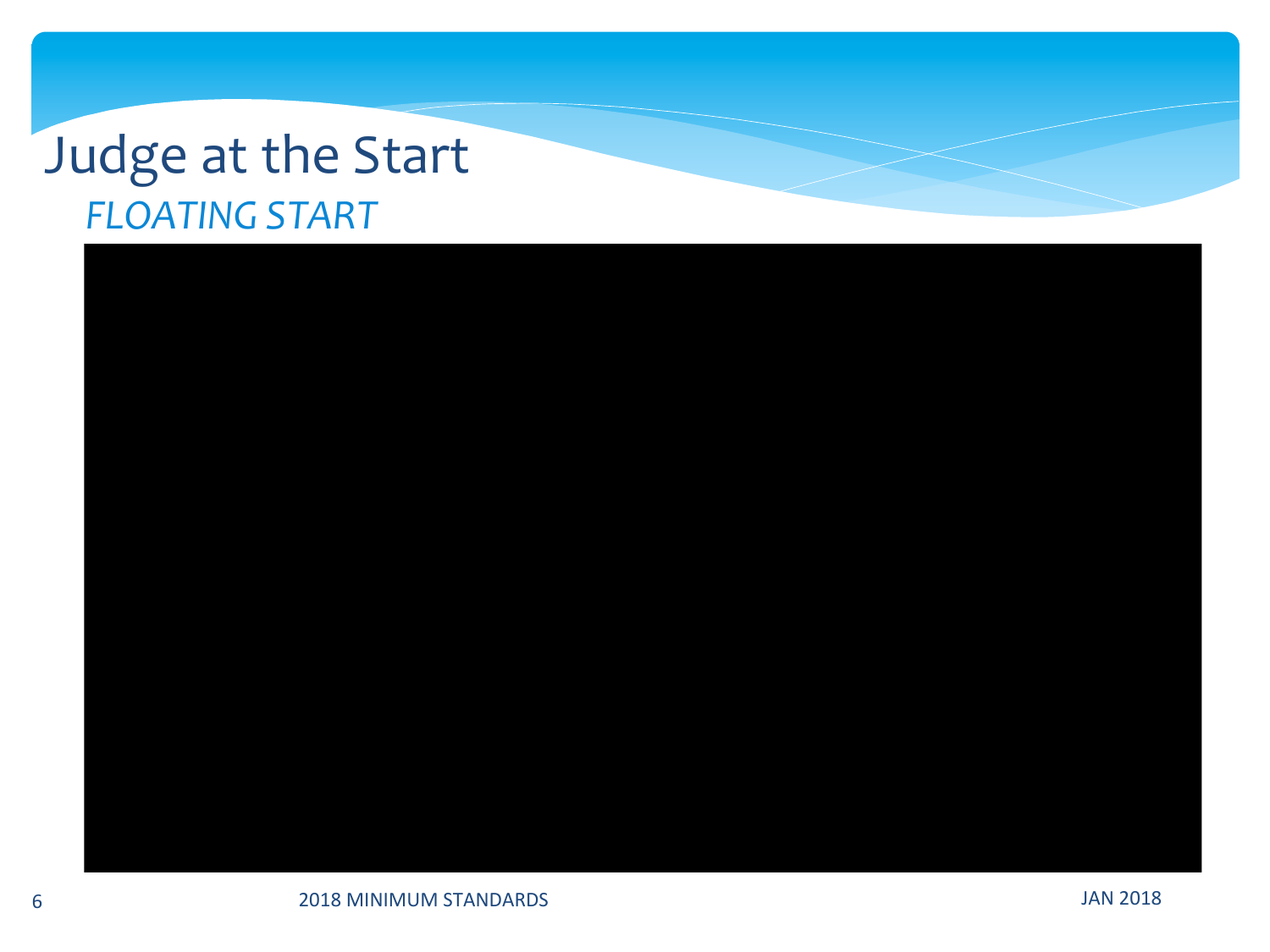### Judge at the Start **FLOATING START**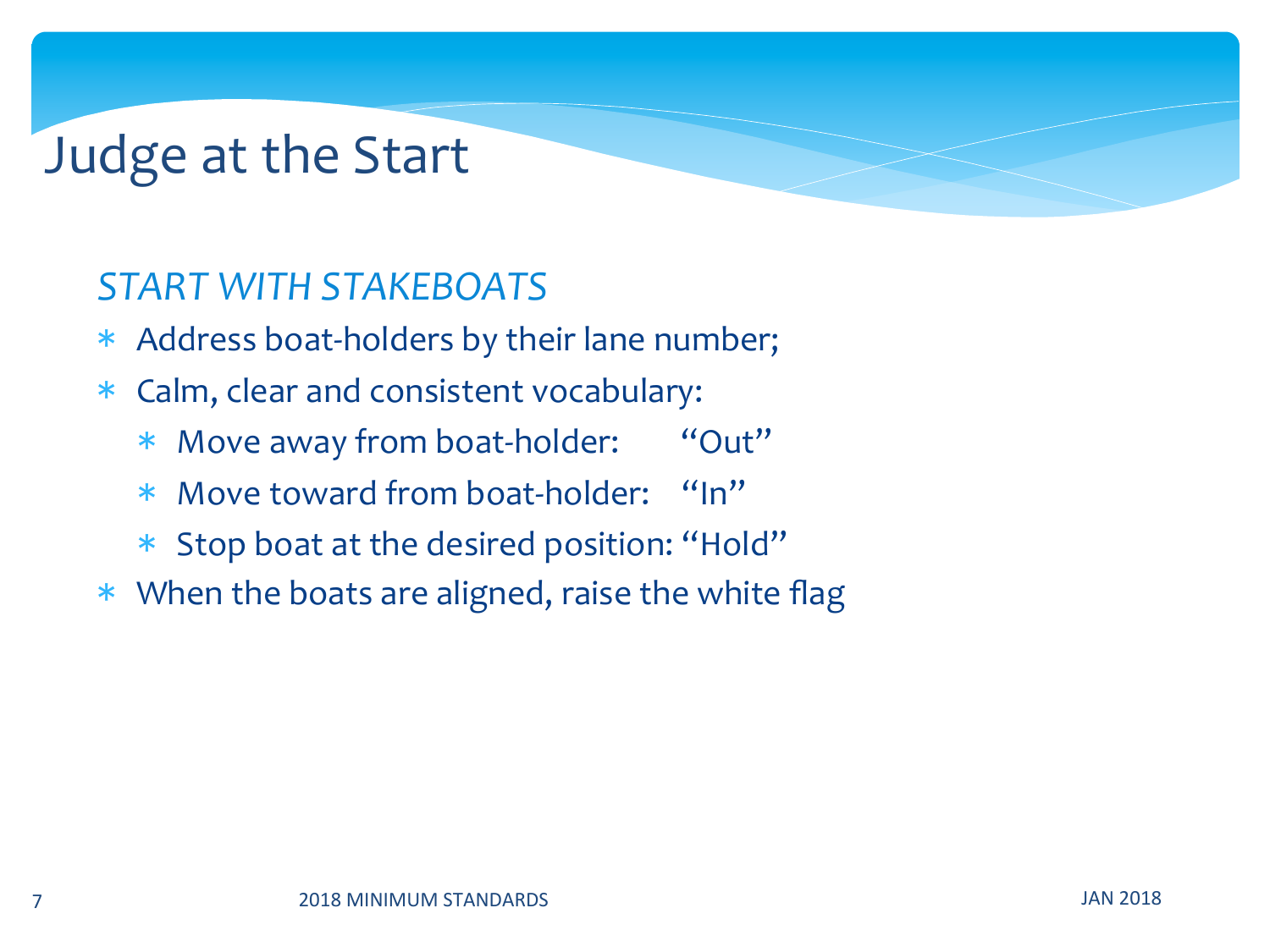### Judge at the Start

#### *START WITH STAKEBOATS*

- \* Address boat-holders by their lane number;
- \* Calm, clear and consistent vocabulary:
	- \* Move away from boat-holder: "Out"
	- \* Move toward from boat-holder: "In"
	- \* Stop boat at the desired position: "Hold"
- $*$  When the boats are aligned, raise the white flag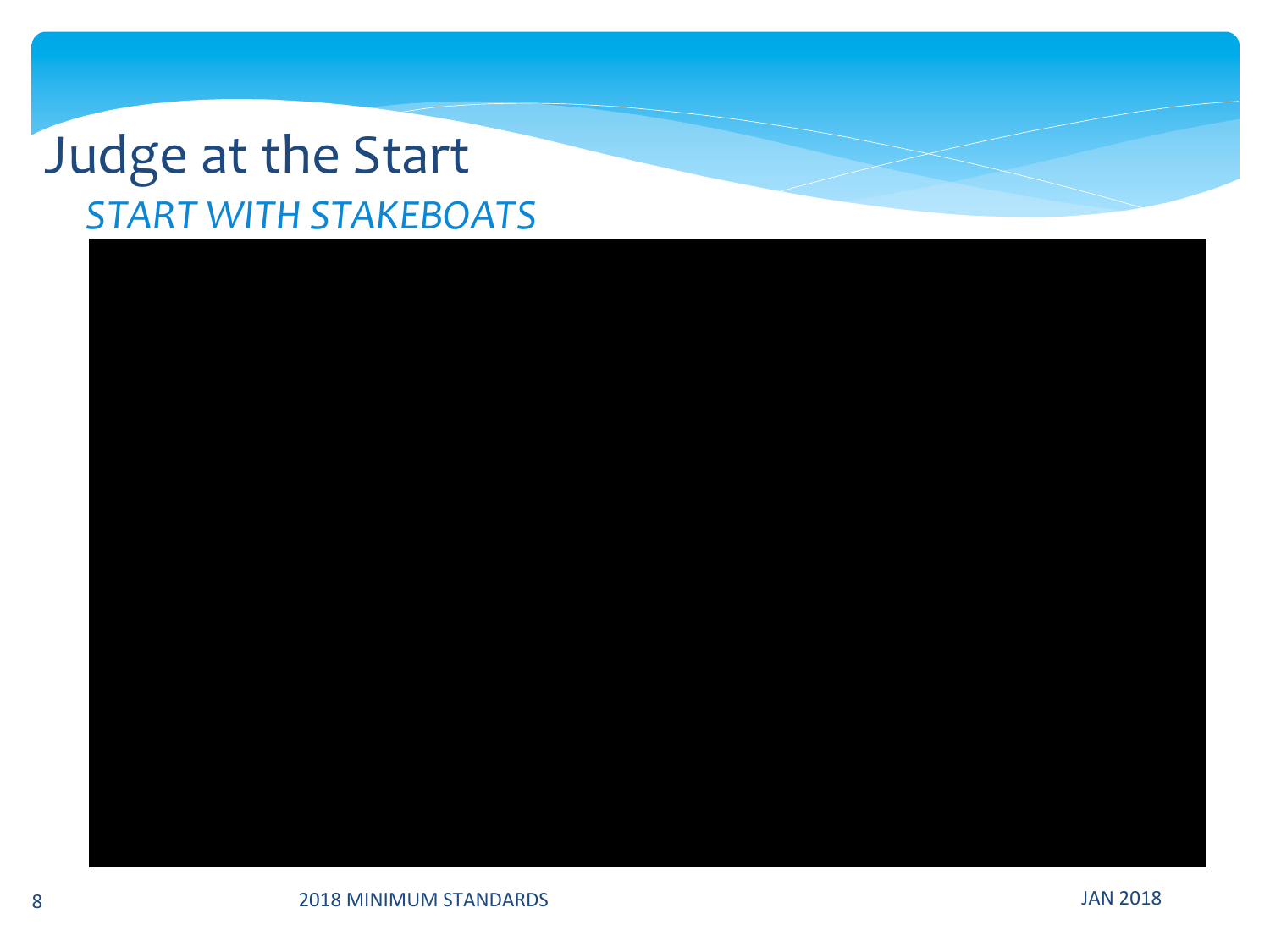### Judge at the Start **START WITH STAKEBOATS**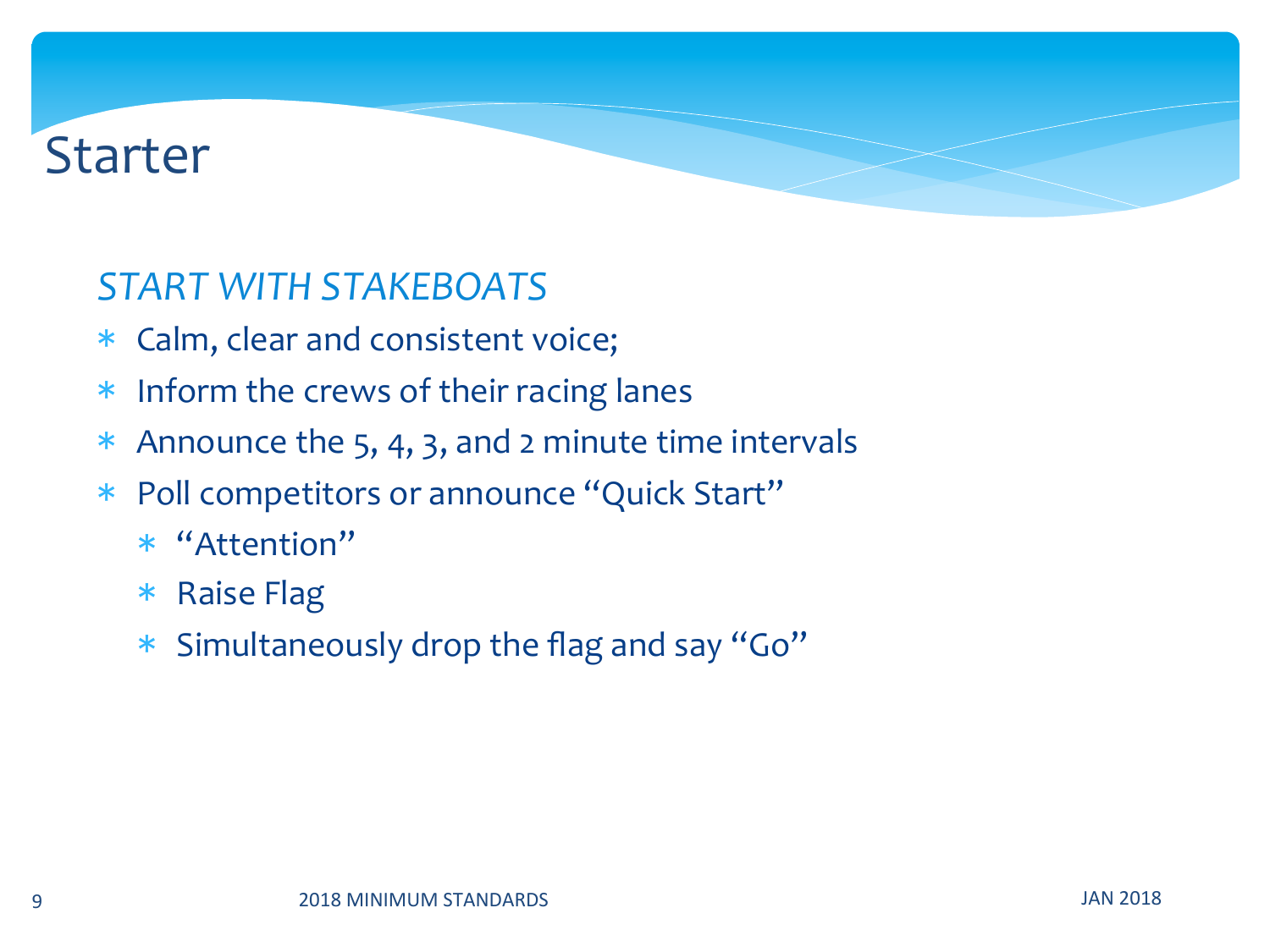### Starter

#### *START WITH STAKEBOATS*

- \* Calm, clear and consistent voice;
- \* Inform the crews of their racing lanes
- \* Announce the 5, 4, 3, and 2 minute time intervals
- \* Poll competitors or announce "Quick Start"
	- \* "Attention"
	- \* Raise Flag
	- \* Simultaneously drop the flag and say "Go"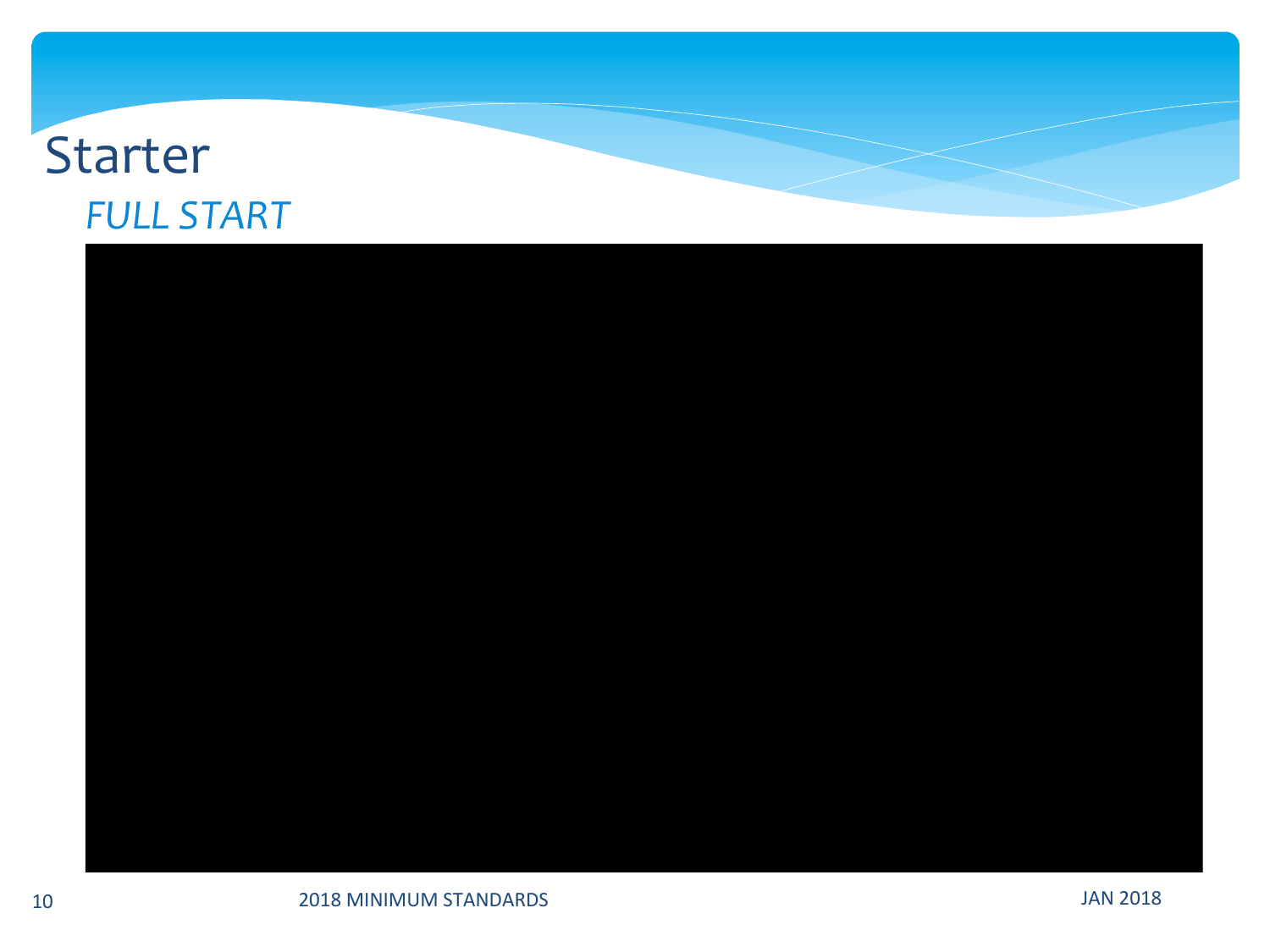### **Starter FULL START**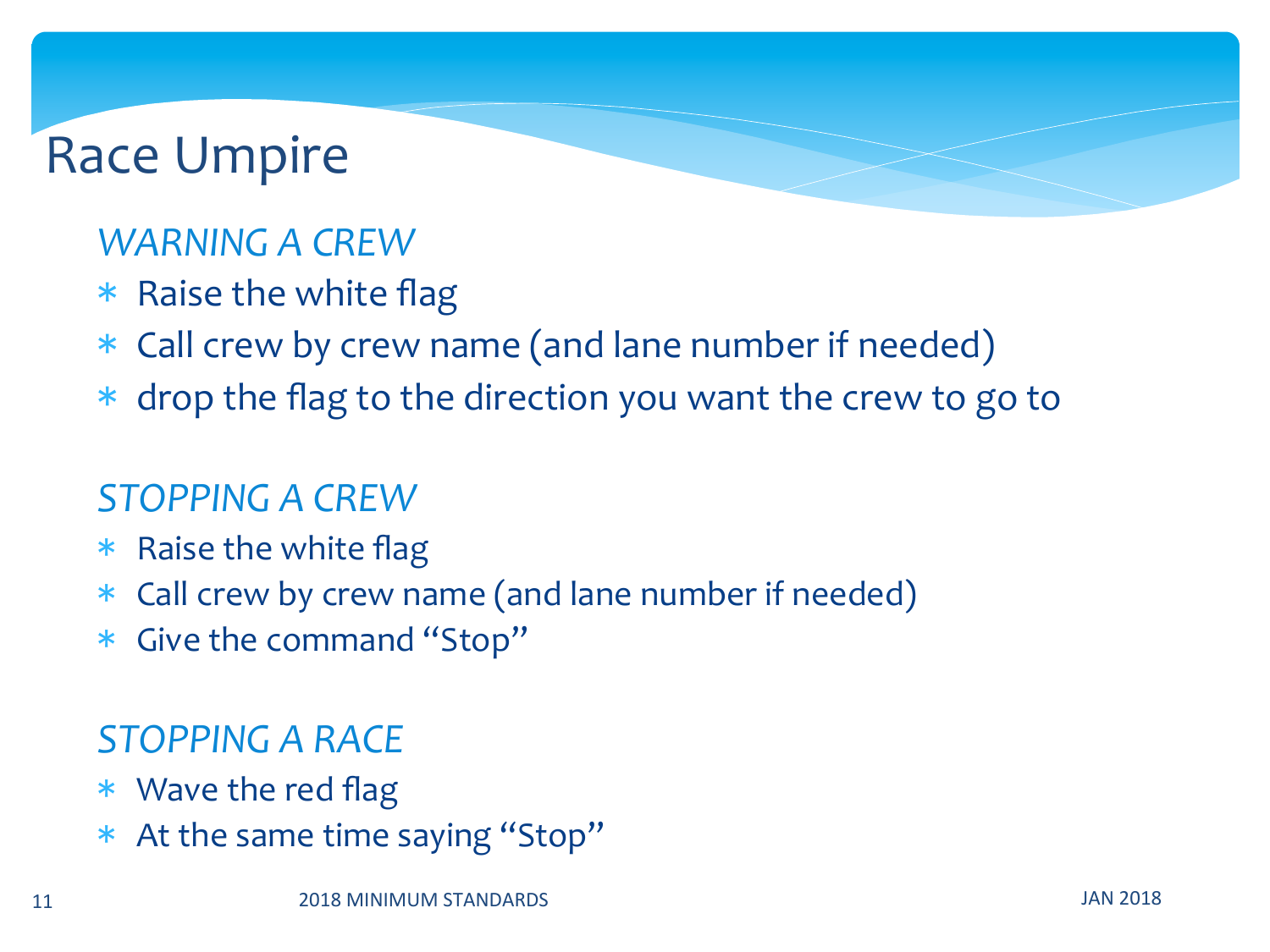#### *WARNING A CREW*

- $*$  Raise the white flag
- \* Call crew by crew name (and lane number if needed)
- $*$  drop the flag to the direction you want the crew to go to

#### *STOPPING A CREW*

- $*$  Raise the white flag
- \* Call crew by crew name (and lane number if needed)
- \* Give the command "Stop"

#### *STOPPING A RACE*

- $*$  Wave the red flag
- \* At the same time saying "Stop"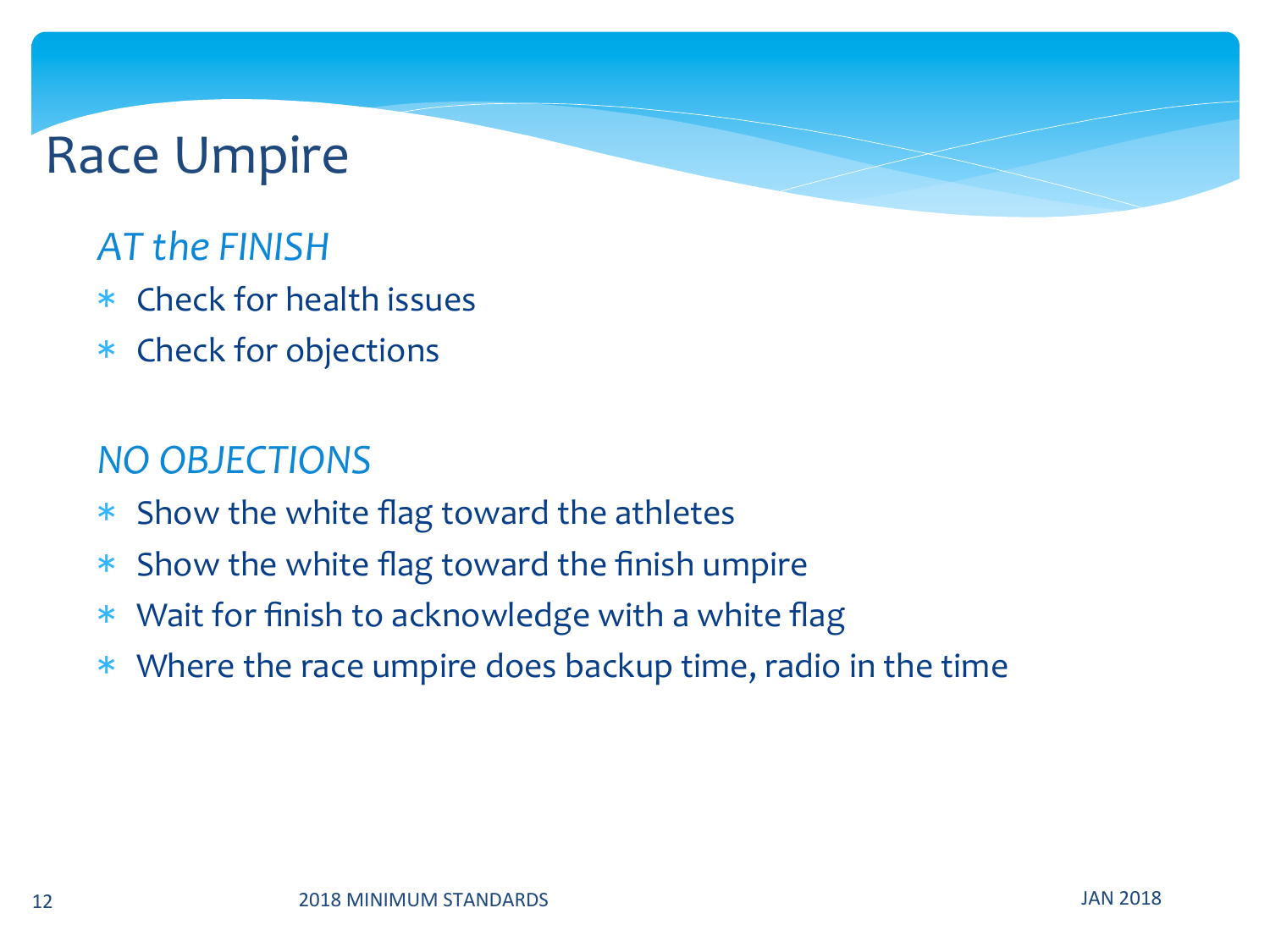#### **AT** the FINISH

- $*$  Check for health issues
- \* Check for objections

#### *NO OBJECTIONS*

- $*$  Show the white flag toward the athletes
- $*$  Show the white flag toward the finish umpire
- $*$  Wait for finish to acknowledge with a white flag
- \* Where the race umpire does backup time, radio in the time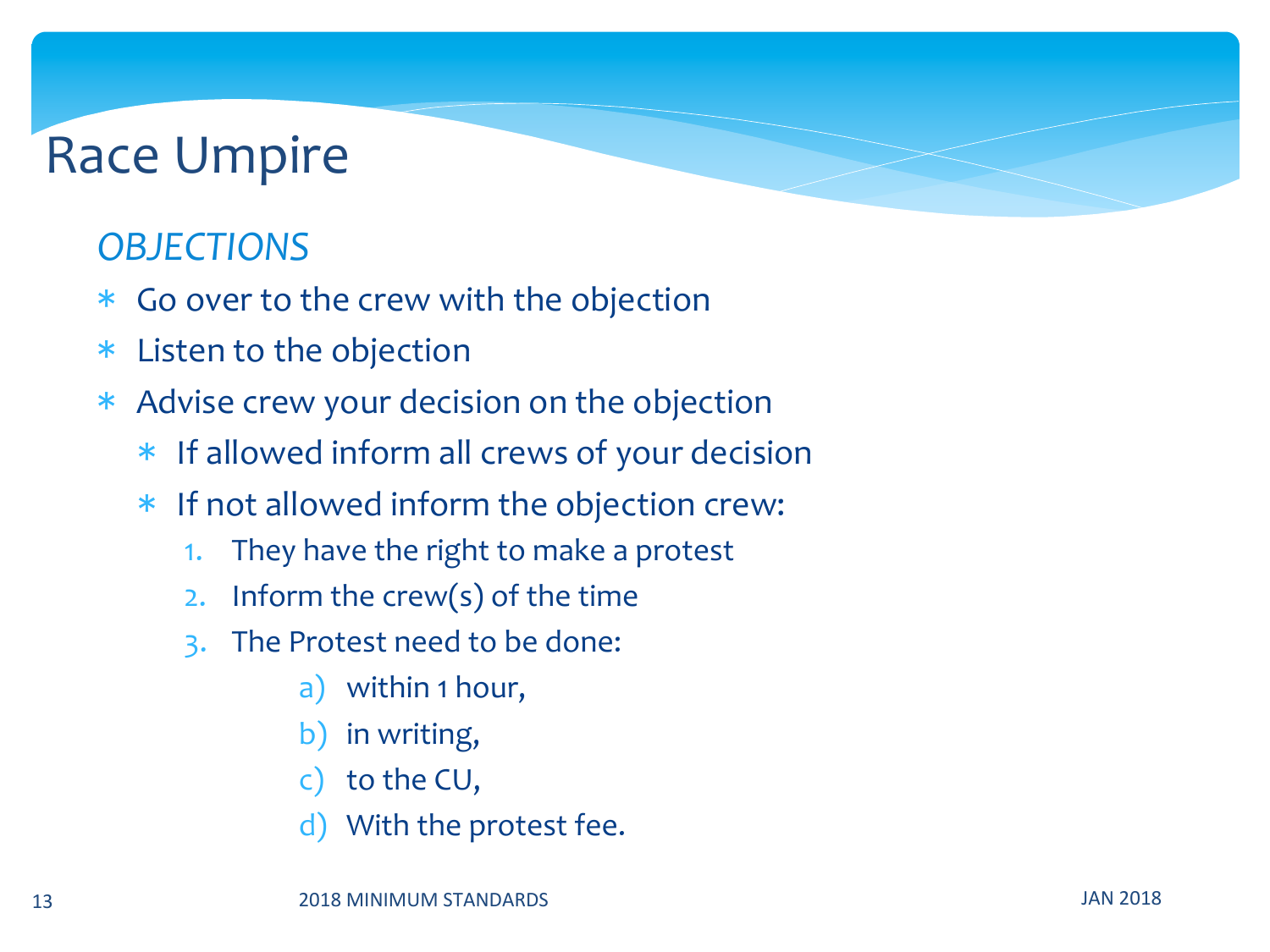#### **OBJECTIONS**

- \* Go over to the crew with the objection
- \* Listen to the objection
- \* Advise crew your decision on the objection
	- $*$  If allowed inform all crews of your decision
	- \* If not allowed inform the objection crew:
		- 1. They have the right to make a protest
		- 2. Inform the crew(s) of the time
		- 3. The Protest need to be done:
			- a) within 1 hour,
			- b) in writing,
			- c) to the  $CU$ ,
			- d) With the protest fee.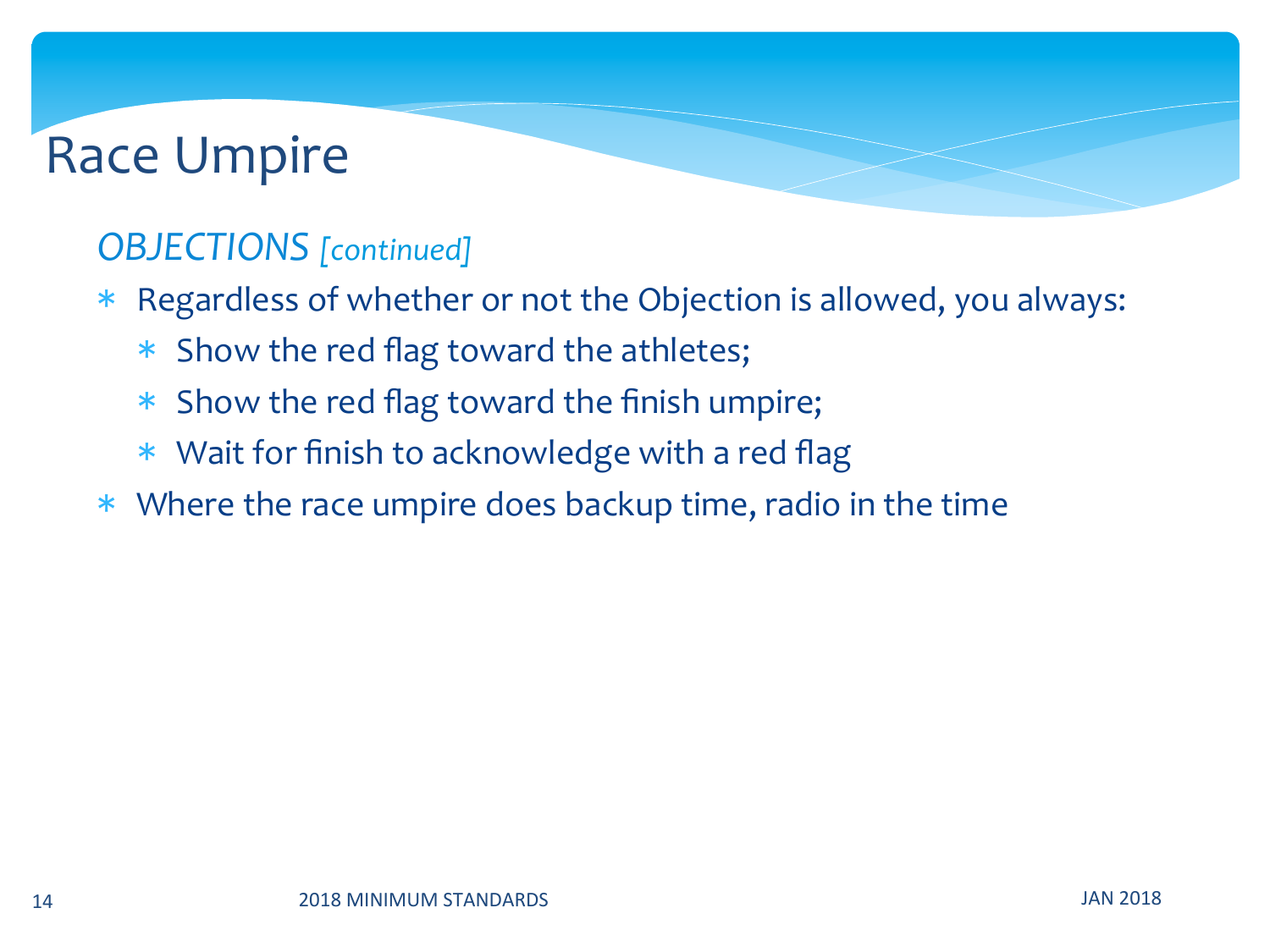#### **OBJECTIONS** [continued]

- \* Regardless of whether or not the Objection is allowed, you always:
	- \* Show the red flag toward the athletes;
	- \* Show the red flag toward the finish umpire;
	- $*$  Wait for finish to acknowledge with a red flag
- $*$  Where the race umpire does backup time, radio in the time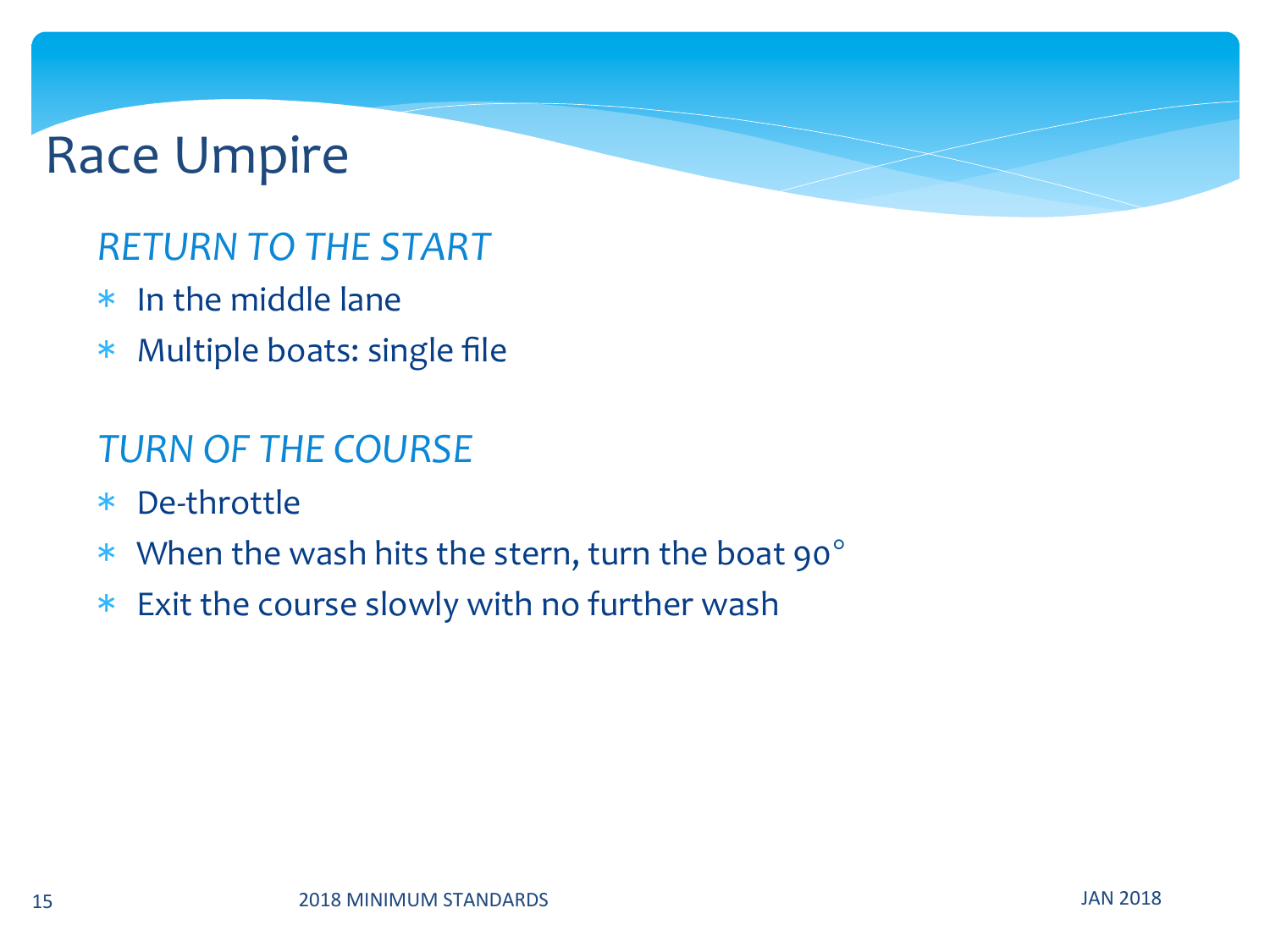#### *RETURN TO THE START*

- $*$  In the middle lane
- $*$  Multiple boats: single file

#### **TURN OF THE COURSE**

- \* De-throttle
- \* When the wash hits the stern, turn the boat  $90^\circ$
- $*$  Exit the course slowly with no further wash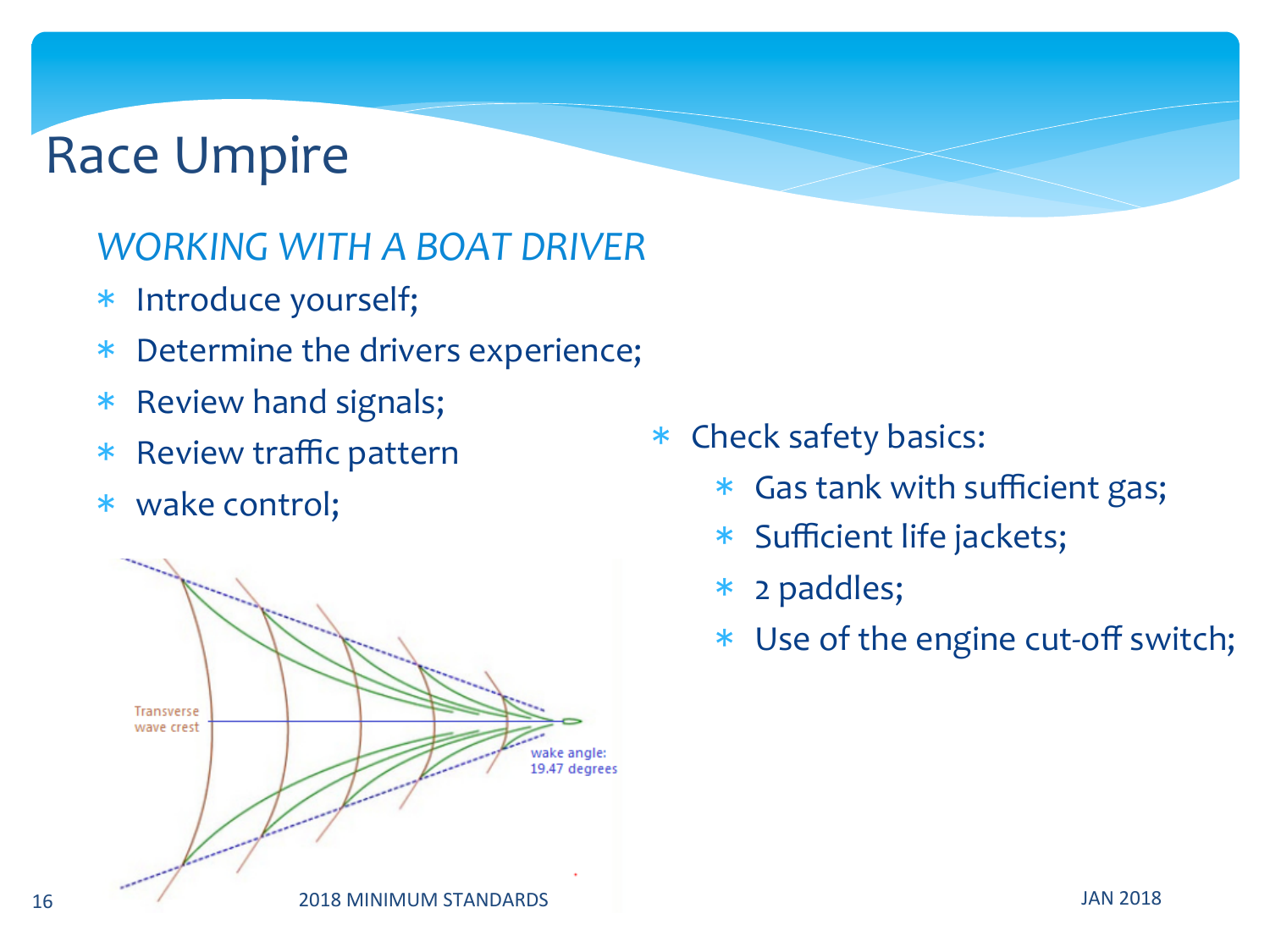#### *WORKING WITH A BOAT DRIVER*

- \* Introduce yourself;
- \* Determine the drivers experience;
- \* Review hand signals;
- \* Review traffic pattern
- \* wake control;



- \* Check safety basics:
	- \* Gas tank with sufficient gas;
	- \* Sufficient life jackets;
	- \* 2 paddles;
	- \* Use of the engine cut-off switch;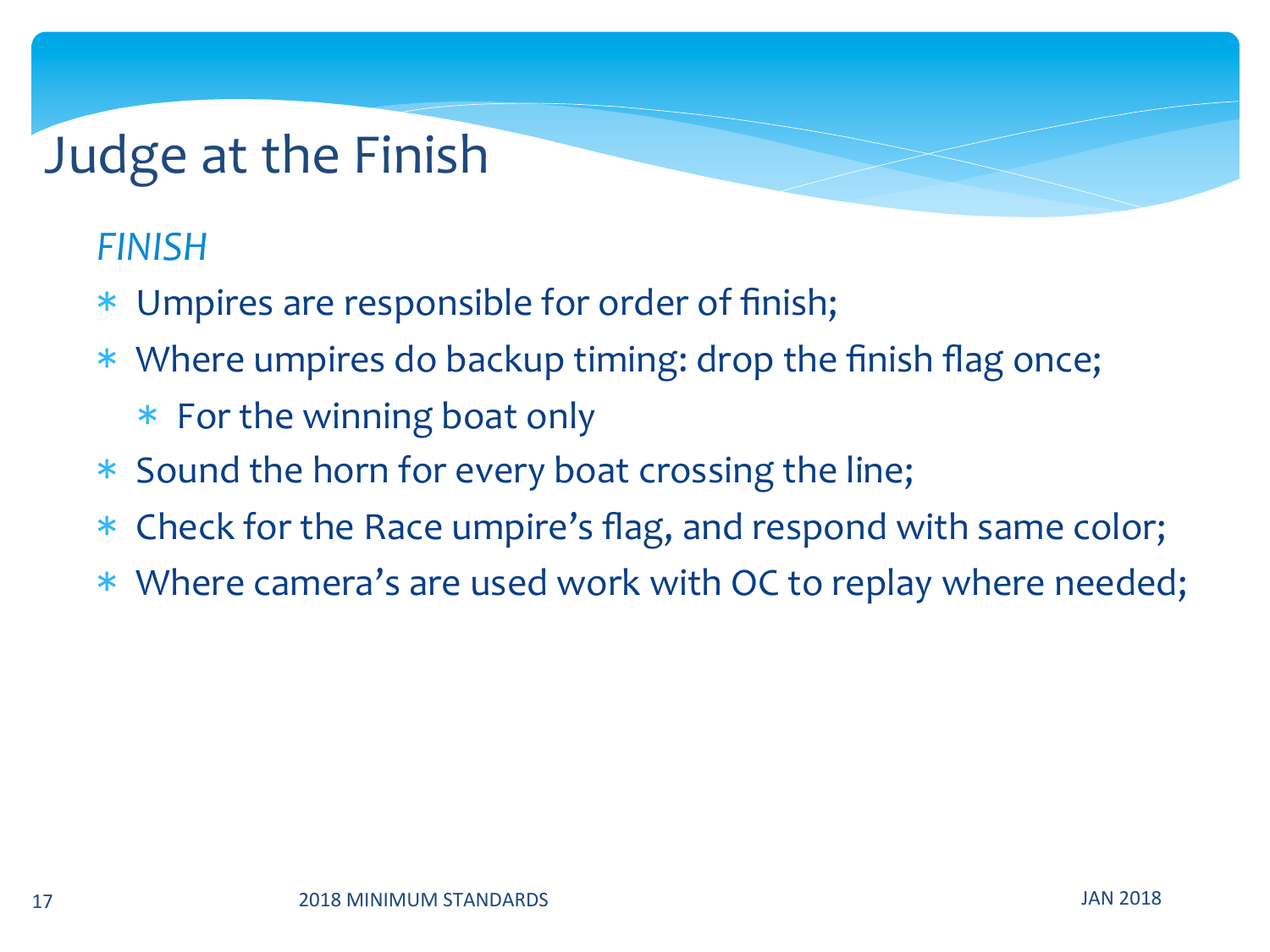### Judge at the Finish

#### *FINISH*

- \* Umpires are responsible for order of finish;
- \* Where umpires do backup timing: drop the finish flag once;
	- \* For the winning boat only
- \* Sound the horn for every boat crossing the line;
- \* Check for the Race umpire's flag, and respond with same color;
- \* Where camera's are used work with OC to replay where needed;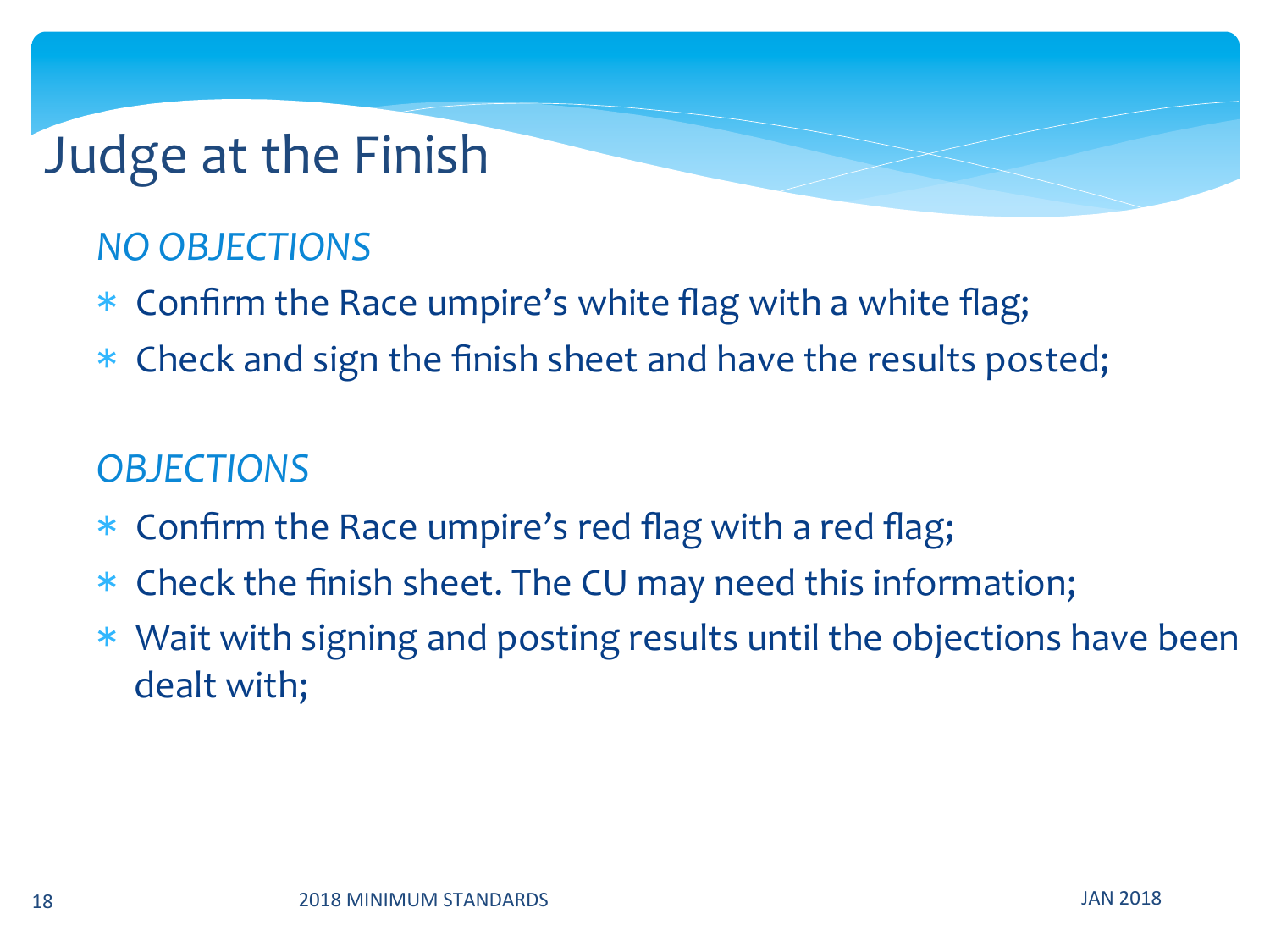### Judge at the Finish

#### *NO OBJECTIONS*

- \* Confirm the Race umpire's white flag with a white flag;
- \* Check and sign the finish sheet and have the results posted;

#### **OBJECTIONS**

- $*$  Confirm the Race umpire's red flag with a red flag;
- \* Check the finish sheet. The CU may need this information;
- \* Wait with signing and posting results until the objections have been dealt with;